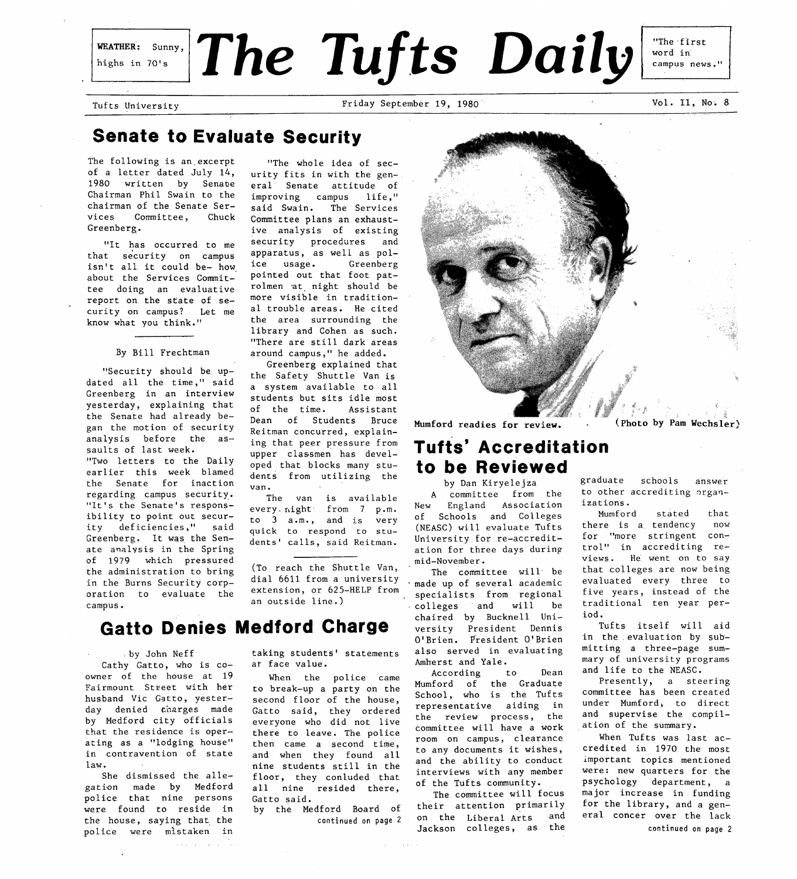## highs in 70's

WeATHER: Sunny, The Tufts Daily

Tufts University **Friday September 19, 1980** Vol. II, No. 8

campus news."

"The first word in

## **Senate to Evaluate Security**

The following is an excerpt of a letter dated July 14, 1980 written by Senate Chairman Phil Swain to the chairman of the Senate Services Committee, Chuck Greenberg.

"It has occurred to me that security on campus isn't all it could be- how. about the Services Committee doing an evaluative report on the state of security on campus? Let me know what you think."

#### By Bill Frechtman

"Security should be updated all the time," said Greenberg in an interview yesterday, explaining that the Senate had already began the motion of security analysis before the assaults of last week. "Two letters to the Daily earlier this week blamed the Senate for inaction regarding campus security.. "It's the Senate's responsibility to point out security deficiencies," said Greenberg. It was the Senate analysis in the Spring of 1979 which pressured the administration to bring in the Burns Security corporation to evaluate the campus.

"The whole idea of security fits in with the general Senate attitude of improving campus life," said Swain. The Services Committee plans an exhaustive analysis of existing security procedares and apparatus, as well as police usage. Greenberg pointed out that foot patrolmen at. night should be more visible in traditional trouble areas. He cited the area surrounding the library and Cohen as such. "There are still dark areas around campus," he added.

Greenberg explained that the Safety Shuttle Van is a system available to all students but sits idle most of the time. Assistant Dean of Students Bruce Reitman concurred, explaining that peer pressure from upper classmen has developed that blocks many students from utilizing the van.

The van is available every. rlight from 7 p.m. to 3 a.m., and is very quick to respond to students' calls, said Reitman.

(To reach the Shuttle Van, dial 6611 from a university extension, or 625-HELP from an outside line.)

## **Gatto Denies Medford Charge**

. by John Neff Cathy Gatto, who is CO-

owner of the house at 19 Fairmount Street with her husband Vic Gatto, yesterday denied charges made by Medford city officials that the residence is operating as a "lodging house" in contravention of state law.

She dismissed the allegation made by Medford police that nine persons were found to reside in the house, saying that. the police were mistaken in

 $\Delta$  and  $\Delta$  and

taking students' statements at face value.

When the police came to break-up a party on the second floor of the house, Gatto said, they ordered everyone who did not live there to leave. The police then came a second time, and when they found all nine students still in the floor, they conluded that all nine resided there, Gatto said.

by the Medford Board of continued **on [page 2](#page-1-0)** 



Mumford readies for review. (Photo by **Pam** Wechsler).

## **Tufts' Accreditation to be Reviewed**

by Dan Kiryelejza A committee from the New England Association of Schools and Colleges (NEASC) will evaluate Tufts University for re-accreditation for three days during mid-November.

The committee will be made up of several academic specialists from regional colleges and will be chaired by Bucknell University President Dennis O'Brien. President O'Brien also served in evaluating Amherst and Yale.

According to Dean Mumford of the Graduate School, who is the Tufts representative aiding in the review process, the committee will have a work room on campus, clearance to any documents it wishes, and the ability to conduct interviews with any member of the Tufts community.

The committee will focus their attention primarily<br>on the Liberal Arts, and on the Liberal Arts Jackson colleges, as the

graduate schools answer to other accrediting organizations.

Mumford stated that<br>ere is a tendency now there is a tendency for "more stringent control" in accrediting reviews. He went on to say that colleges are now being evaluated every three to five years, instead of the traditional ten year period.

Tufts itself will aid in the evaluation by submitting a three-page summary of university programs and life to the NEASC.

Presently, a steering committee has been created under Mumford, to direct and supervise the compilation of the summary.

When Tufts was last accredited in 1970 the most important topics mentioned were: new quarters for the psychology department, a major increase in funding for the library, and a general concer over the lack continued on **[page](#page-1-0) 2**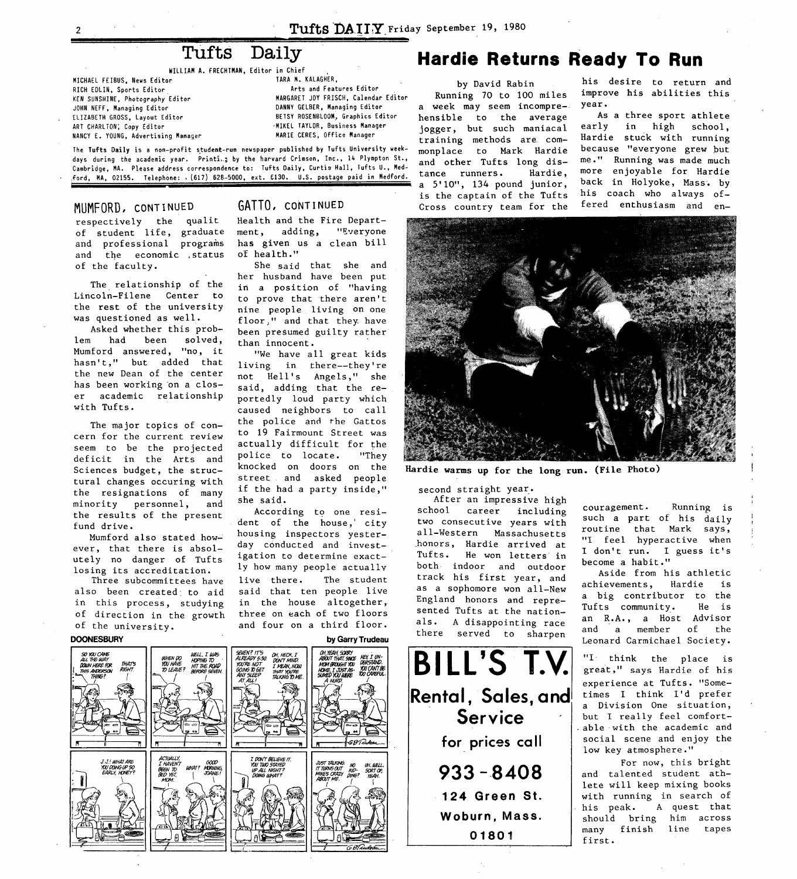**t** 

## Tufts Daily

**WILLIAB A. FRECHTMAN, Editor in Chief** ,

<span id="page-1-0"></span>**MICHAEL FEIBUS. News Editor RICH EDLIN, Sports Editor KEN SUNSHINE, Photography Editor JOHN NEFF, Managing Editor ART CHARLTON; Copy Editor NANCY E. YOUNG, Advertising Manager**  . **ELIZABETH GROSS, Layout Editor BETSY ROSENBLOOM, Graphics Editor** 

**TARA M. KALAGHER, BARGARET JOY FRISCH, Calendar Editor DANNY GELBER, Manaqing Editor \*MIKEL TAYLOR, Business Manager**  Arts and Features Editor **MARIE CERES, Office Manager** 

**The Tufts Daily is a non-profit student-run newspaper published by Tufts University ueek**days during the academic year. Printi<sub>ng</sub> by the harvard Crimson, Inc., 14 Plympton St., **Cambridqe. MA. Please address correspondence to: Tufts Daily, Curtis Hall, Tufts U., Med-,ford, MA, 02155. Telephone:** . **(617) 628-5000, ext. €130. U.S. postage paid in Medford.** 

### MUMFORD, **CONT** I **NED**

respectively the qualit of student life, graduate and professional programs and the economic ,status of the faculty.

The relationship of the Lincoln-Filene Center to the rest of the university was questioned as well.

Asked whether this problem had been solved, Mumford answered, "no, it hasn't," but added that the new Dean of the center has been working'on a closer academic relationship with Tufts.

The major topics of concern for the current review seem to be the projected deficit in the Arts and Sciences budget, the structural changes occuring with the resignations of many minority personnel, and the results of the present fund drive.

Mumford also stated however, that there is absolutely no danger of Tufts losing its accreditation.

Three subcommittees have also been created, to aid in this process, studying of direction in the growth of the university.



### GATTO, **CONT I NUED**

Health and the Fire Department, adding, "Everyone has given us a clean bill of health."

She said that she and her husband have been put in a position of "having to prove that there aren't nine people living **on** one floor," and that they. have been presumed guilty rather than innocent.

"We have all great kids living in there--they're not Hell's Angels," she said, adding that the reportedly loud party which caused neighbors to call the police and the Gattos to **19** Fairmount Street was actually difficult for the<br>police to locate. "They police to locate. knocked on doors on the street and asked people if the had a party inside," she said.

According to one resident of the house,' city housing inspectors yesterday conducted and investigation to determine exactly how many people actually live there. The student said that ten people live in the house altogether, three on each of two floors and four on **3** third floor.

## **Hardie Returns Ready To Run**

by David Rabin Running 70 to **100** miles a week may seem incomprehensible to the average jogger, but such maniacal training methods are. commonplace to Mark Hardie and other Tufts long dis-<br>tance runners. Hardie. tance runners. a  $5'10''$ , 134 pound junior, is the captain of the Tufts his coach who always of-<br>Cross country team for the fered enthusiasm and en-Cross country team for the

his desire to return and improve his abilities this year.

As a three sport athlete early in high school, Hardie stuck with running because "everyone grew but me." Running was made much more enjoyable for Hardie back in Holyoke, Mass.. by



Hardie warms up for the long run. (File Photo)

second straight year.

After an impressive high school career including two consecutive years with all-Western Massachusetts .honors, Hardie arrived at Tufts. He won letters in both indoor and outdoor track his first year, and as a sophomore won all-New England honors and represented Tufts at the nationals. **A** disappointing race there served to sharpen

**BILL'S T.Y Rental, Sales, and Service for prices call**  *933* **--8408 124 Green St. Woburn, Mass. 01801** 

couragement. Running is such a part of his daily routine that Mark says, "I feel hyperactive when I don't run. I guess it's become a habit."

**I** 

Aside from his athletic achievements, Hardie is a big contributor to the Tufts community. He is an **R.A.,** a Host Advisor and a member of the Leonard Carmichael Society.

**"I** think the place is great," **says** Hardie of his experience at Tufts. "Sometimes I think I'd prefer a Division One situation, but I really feel comfortable with the academic and social scene and enjoy the low key atmosphere."

For now, this bright and talented student athlete will keep mixing books with running in search of his peak. A quest that should bring him across many finish line tapes first .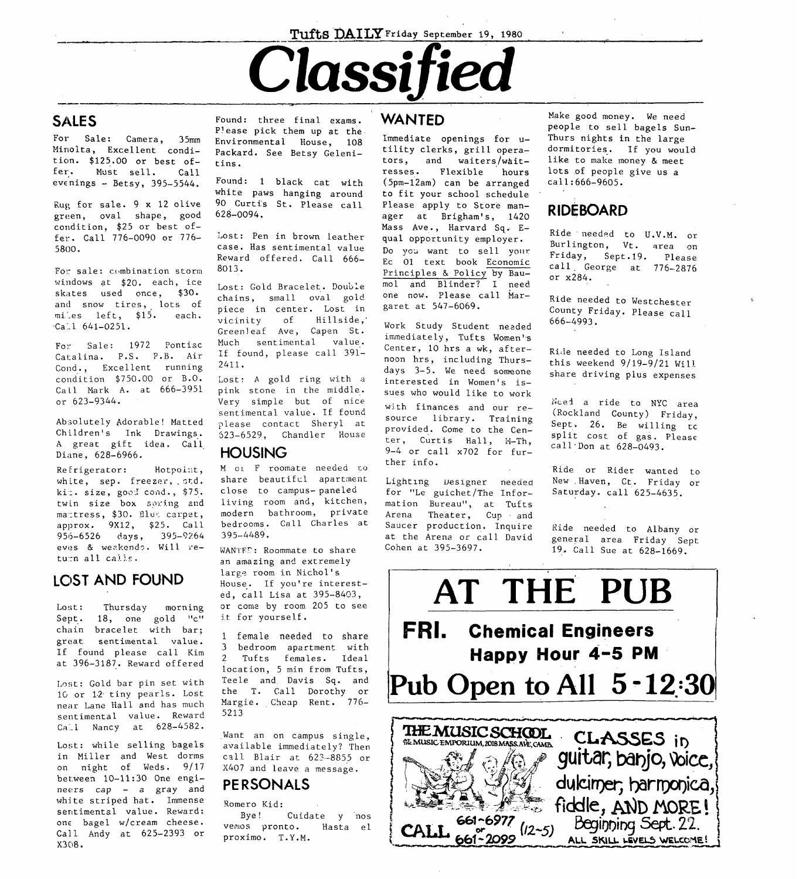### Tufts DAILY Friday September 19, 1980

# Classified

## **SALES**

For Sale: Camera, 35mm Minolta, Excellent condition.  $$125.00$  or best offer. Must sell.  $Call$ evenings  $-$  Betsy, 395-5544.

Rug for sale.  $9 \times 12$  olive green, oval shape, good condition. \$25 or best offer. Call 776-0090 or 776-5800.

For sale: combination storm windows at \$20. each, ice skates used once, \$30. and snow tires, lots of miles left, \$15. each.  $Ca.1 641-0251.$ 

For Sale: 1972 Pontiac Catalina. P.S. P.B. Air Cond., Excellent running condition \$750.00 or B.O. Call Mark A. at 666-3951 or 623-9344.

Absolutely Adorable! Matted Children's Ink Drawings. A great gift idea. Call Diane, 628-6966.

Refrigerator: Hotpoint, white, sep. freezer, std. kit. size, good cond., \$75. twin size box soring and mattress, \$30. Blue carpet, approx. 9X12, \$25. Call 956-6526 days, 395-9264 eves & weakends. Will return all calls.

### LOST AND FOUND

 $Loss:$ Thursday morning Sept. 18, one gold "c" chain bracelet with bar; great sentimental value. If found please call Kim at 396-3187. Reward offered

Lost: Gold bar pin set with 10 or 12 tiny pearls. Lost near Lane Hall and has much sentimental value. Reward Call Nancy at 628-4582.

Lost: while selling bagels in Miller and West dorms on night of Weds. 9/17 between 10-11:30 One engineers cap - a gray and white striped hat. Immense sentimental value. Reward: one bagel w/cream cheese. Call Andy at 625-2393 or X308.

Found: three final exams. Please pick them up at the Environmental House, 108 Packard. See Betsy Gelenitins.

Found: 1 black cat with white paws hanging around 90 Curtis St. Please call  $628 - 0094.$ 

Lost: Pen in brown leather case. Has sentimental value Reward offered. Call 666- $8013.$ 

Lost: Gold Bracelet. Double chains, small oval gold piece in center. Lost in  $\circ$ f Hillside, vicinity Greenleaf Ave, Capen St. Much sentimental value. If found, please call 391- $2411.$ 

Lost: A gold ring with a pink stone in the middle. Very simple but of nice sentimental value. If found please contact Sheryl at 623-6529, Chandler House

### **HOUSING**

M oi F roomate needed to share beautiful apartment close to campus-paneled living room and, kitchen, modern bathroom, private bedrooms. Call Charles at  $395 - 4489$ .

WANTED: Roommate to share an amazing and extremely large room in Nichol's House. If you're interested, call Lisa at 395-8403, or come by room 205 to see it for yourself.

1 female needed to share  $\mathbf{3}$ bedroom apartment with Tufts females. Ideal  $2^{\circ}$ location, 5 min from Tufts, Teele and Davis Sq. and the T. Call Dorothy or Margie. Cheap Rent. 776-5213

Want an on campus single, available immediately? Then call Blair at 623-8855 or X407 and leave a message.

### PERSONALS

Romero Kid:

Cuidate y nos Bye! vemos pronto. Hasta el proximo. T.Y.M.

### WANTED

Immediate openings for utility clerks, grill operators, and waiters/wait-Flexible resses. hours (5pm-12am) can be arranged to fit your school schedule Please apply to Store manager at Brigham's, 1420 Mass Ave., Harvard Sq. Equal opportunity employer. Do you want to sell your Ec 01 text book Economic Principles & Policy by Baumol and Blinder? I need one now. Please call Margaret at 547-6069.

Work Study Student needed immediately, Tufts Women's Center, 10 hrs a wk, afternoon hrs, including Thursdays 3-5. We need someone interested in Women's issues who would like to work with finances and our resource library. Training provided. Come to the Center, Curtis Hall, M-Th,  $9-4$  or call x702 for further info.

Lighting Designer needed for "Le guichet/The Information Bureau", at Tufts Arena Theater, Cup and Saucer production. Inquire at the Arena or call David Cohen at 395-3697.

Make good money. We need people to sell bagels Sun-Thurs nights in the large dormitories. If you would like to make money & meet lots of people give us a call:666-9605.

## **RIDEBOARD**

Ride needed to U.V.M. or Burlington, Vt. area on Friday, Sept.19. Please call George at  $776-2876$ or x284.

Ride needed to Westchester County Friday. Please call  $666 - 4993.$ 

Ride needed to Long Island this weekend  $9/19-9/21$  Will share driving plus expenses

Noed a ride to NYC area (Rockland County) Friday, Sept. 26. Be willing to split cost of gas. Please call Don at  $628-0493$ .

Ride or Rider wanted to New Haven, Ct. Friday or Saturday. call 625-4635.

Ride needed to Albany or general area Friday Sept 19. Call Sue at 628-1669.